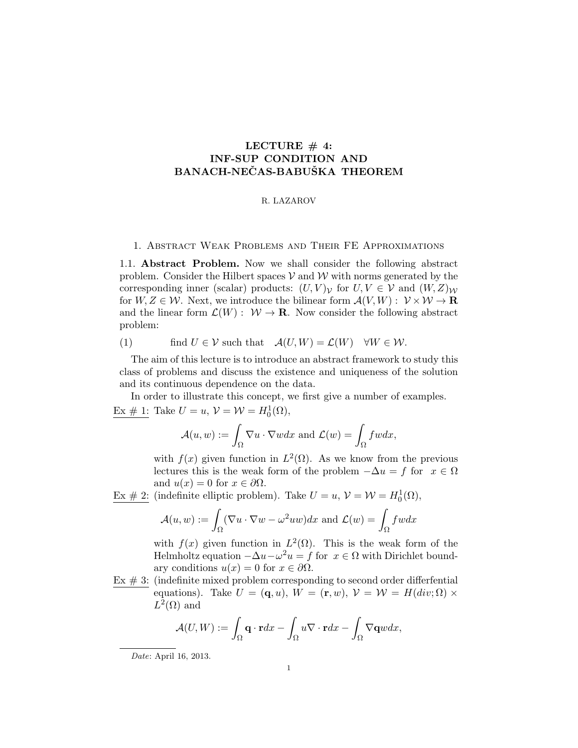# LECTURE  $# 4$ : INF-SUP CONDITION AND BANACH-NEČAS-BABUŠKA THEOREM

## R. LAZAROV

# 1. Abstract Weak Problems and Their FE Approximations

1.1. Abstract Problem. Now we shall consider the following abstract problem. Consider the Hilbert spaces  $V$  and  $W$  with norms generated by the corresponding inner (scalar) products:  $(U, V)_V$  for  $U, V \in V$  and  $(W, Z)_W$ for  $W, Z \in \mathcal{W}$ . Next, we introduce the bilinear form  $\mathcal{A}(V, W) : \mathcal{V} \times \mathcal{W} \to \mathbf{R}$ and the linear form  $\mathcal{L}(W) : \mathcal{W} \to \mathbf{R}$ . Now consider the following abstract problem:

(1) find 
$$
U \in \mathcal{V}
$$
 such that  $\mathcal{A}(U, W) = \mathcal{L}(W) \quad \forall W \in \mathcal{W}$ .

The aim of this lecture is to introduce an abstract framework to study this class of problems and discuss the existence and uniqueness of the solution and its continuous dependence on the data.

In order to illustrate this concept, we first give a number of examples.  $Ex \# 1$ : Take  $U = u$ ,  $V = W = H_0^1(\Omega)$ ,

$$
\mathcal{A}(u, w) := \int_{\Omega} \nabla u \cdot \nabla w dx \text{ and } \mathcal{L}(w) = \int_{\Omega} f w dx,
$$

with  $f(x)$  given function in  $L^2(\Omega)$ . As we know from the previous lectures this is the weak form of the problem  $-\Delta u = f$  for  $x \in \Omega$ and  $u(x) = 0$  for  $x \in \partial \Omega$ .

<u>Ex # 2</u>: (indefinite elliptic problem). Take  $U = u$ ,  $V = W = H_0^1(\Omega)$ ,

$$
\mathcal{A}(u, w) := \int_{\Omega} (\nabla u \cdot \nabla w - \omega^2 uw) dx \text{ and } \mathcal{L}(w) = \int_{\Omega} f w dx
$$

with  $f(x)$  given function in  $L^2(\Omega)$ . This is the weak form of the Helmholtz equation  $-\Delta u - \omega^2 u = f$  for  $x \in \Omega$  with Dirichlet boundary conditions  $u(x) = 0$  for  $x \in \partial \Omega$ .

 $Ex \# 3:$  (indefinite mixed problem corresponding to second order differential equations). Take  $U = (\mathbf{q}, u)$ ,  $W = (\mathbf{r}, w)$ ,  $V = W = H(div; \Omega) \times$  $L^2(\Omega)$  and

$$
\mathcal{A}(U,W) := \int_{\Omega} \mathbf{q} \cdot \mathbf{r} dx - \int_{\Omega} u \nabla \cdot \mathbf{r} dx - \int_{\Omega} \nabla \mathbf{q} w dx,
$$

Date: April 16, 2013.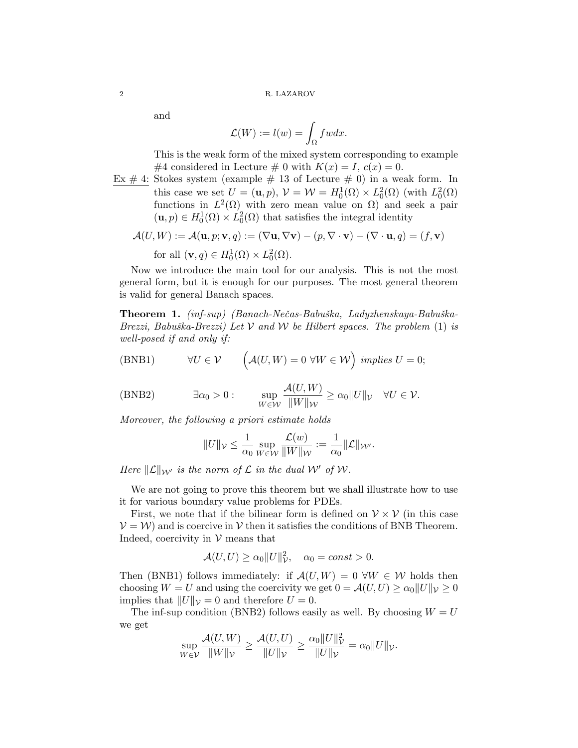and

$$
\mathcal{L}(W) := l(w) = \int_{\Omega} f w dx.
$$

This is the weak form of the mixed system corresponding to example #4 considered in Lecture # 0 with  $K(x) = I$ ,  $c(x) = 0$ .

Ex  $\#$  4: Stokes system (example  $\#$  13 of Lecture  $\#$  0) in a weak form. In this case we set  $U = (\mathbf{u}, p), \mathcal{V} = \mathcal{W} = H_0^1(\Omega) \times L_0^2(\Omega)$  (with  $L_0^2(\Omega)$ ) functions in  $L^2(\Omega)$  with zero mean value on  $\Omega$ ) and seek a pair  $(\mathbf{u}, p) \in H_0^1(\Omega) \times L_0^2(\Omega)$  that satisfies the integral identity

$$
\mathcal{A}(U, W) := \mathcal{A}(\mathbf{u}, p; \mathbf{v}, q) := (\nabla \mathbf{u}, \nabla \mathbf{v}) - (p, \nabla \cdot \mathbf{v}) - (\nabla \cdot \mathbf{u}, q) = (f, \mathbf{v})
$$
  
for all  $(\mathbf{v}, q) \in H_0^1(\Omega) \times L_0^2(\Omega)$ .

Now we introduce the main tool for our analysis. This is not the most general form, but it is enough for our purposes. The most general theorem is valid for general Banach spaces.

Theorem 1. (inf-sup) (Banach-Nečas-Babuška, Ladyzhenskaya-Babuška-Brezzi, Babuška-Brezzi) Let V and W be Hilbert spaces. The problem  $(1)$  is well-posed if and only if:

(BNB1) 
$$
\forall U \in \mathcal{V} \qquad \left(\mathcal{A}(U, W) = 0 \ \forall W \in \mathcal{W}\right) \ implies \ U = 0;
$$

(BNB2) 
$$
\exists \alpha_0 > 0: \qquad \sup_{W \in \mathcal{W}} \frac{\mathcal{A}(U, W)}{\|W\|_{\mathcal{W}}} \ge \alpha_0 \|U\|_{\mathcal{V}} \quad \forall U \in \mathcal{V}.
$$

Moreover, the following a priori estimate holds

$$
||U||_{\mathcal{V}} \leq \frac{1}{\alpha_0}\sup_{W\in \mathcal{W}}\frac{\mathcal{L}(w)}{||W||_{\mathcal{W}}}:=\frac{1}{\alpha_0}||\mathcal{L}||_{\mathcal{W}'}.
$$

Here  $\|\mathcal{L}\|_{\mathcal{W}'}$  is the norm of  $\mathcal L$  in the dual W' of W.

We are not going to prove this theorem but we shall illustrate how to use it for various boundary value problems for PDEs.

First, we note that if the bilinear form is defined on  $V \times V$  (in this case  $V = W$  and is coercive in V then it satisfies the conditions of BNB Theorem. Indeed, coercivity in  $V$  means that

$$
\mathcal{A}(U,U) \ge \alpha_0 ||U||^2_{\mathcal{V}}, \quad \alpha_0 = const > 0.
$$

Then (BNB1) follows immediately: if  $\mathcal{A}(U, W) = 0 \ \forall W \in \mathcal{W}$  holds then choosing  $W = U$  and using the coercivity we get  $0 = \mathcal{A}(U, U) \ge \alpha_0 ||U||_{\mathcal{V}} \ge 0$ implies that  $||U||_{\mathcal{V}} = 0$  and therefore  $U = 0$ .

The inf-sup condition (BNB2) follows easily as well. By choosing  $W = U$ we get

$$
\sup_{W \in \mathcal{V}} \frac{\mathcal{A}(U, W)}{\|W\|_{\mathcal{V}}} \ge \frac{\mathcal{A}(U, U)}{\|U\|_{\mathcal{V}}} \ge \frac{\alpha_0 \|U\|_{\mathcal{V}}^2}{\|U\|_{\mathcal{V}}} = \alpha_0 \|U\|_{\mathcal{V}}.
$$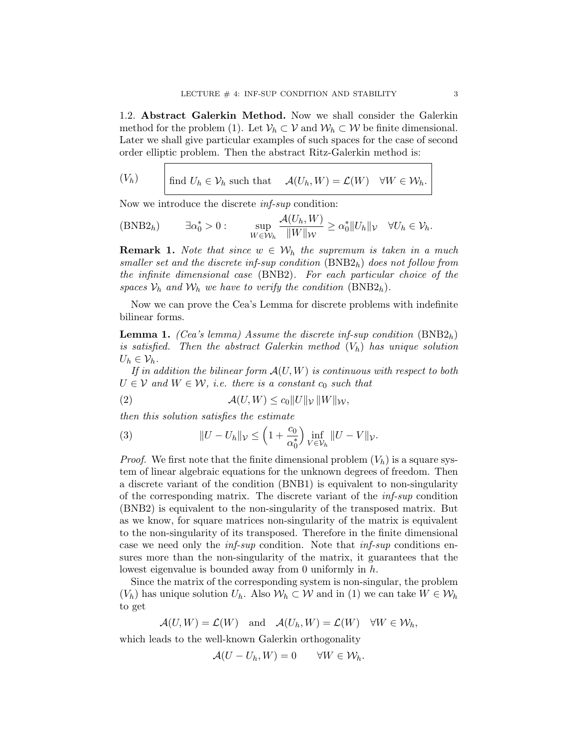1.2. Abstract Galerkin Method. Now we shall consider the Galerkin method for the problem (1). Let  $V_h \subset V$  and  $W_h \subset W$  be finite dimensional. Later we shall give particular examples of such spaces for the case of second order elliptic problem. Then the abstract Ritz-Galerkin method is:

$$
(V_h) \t\t \text{find } U_h \in \mathcal{V}_h \text{ such that } \mathcal{A}(U_h, W) = \mathcal{L}(W) \quad \forall W \in \mathcal{W}_h.
$$

Now we introduce the discrete inf-sup condition:

(BNB2<sub>h</sub>) 
$$
\exists \alpha_0^* > 0
$$
:  $\sup_{W \in \mathcal{W}_h} \frac{\mathcal{A}(U_h, W)}{\|W\|_{\mathcal{W}}} \ge \alpha_0^* \|U_h\|_{\mathcal{V}} \quad \forall U_h \in \mathcal{V}_h.$ 

**Remark 1.** Note that since  $w \in \mathcal{W}_h$  the supremum is taken in a much smaller set and the discrete inf-sup condition  $(BNB2<sub>h</sub>)$  does not follow from the infinite dimensional case (BNB2). For each particular choice of the spaces  $\mathcal{V}_h$  and  $\mathcal{W}_h$  we have to verify the condition (BNB2<sub>h</sub>).

Now we can prove the Cea's Lemma for discrete problems with indefinite bilinear forms.

**Lemma 1.** (Cea's lemma) Assume the discrete inf-sup condition  $(BNB2<sub>h</sub>)$ is satisfied. Then the abstract Galerkin method  $(V_h)$  has unique solution  $U_h \in \mathcal{V}_h$ .

If in addition the bilinear form  $A(U, W)$  is continuous with respect to both  $U \in \mathcal{V}$  and  $W \in \mathcal{W}$ , i.e. there is a constant  $c_0$  such that

$$
(2) \quad \mathcal{A}(U,W) \le c_0 \|U\|_{\mathcal{V}} \|W\|_{\mathcal{W}},
$$

then this solution satisfies the estimate

(3) 
$$
||U - U_h||_{\mathcal{V}} \leq \left(1 + \frac{c_0}{\alpha_0^*}\right) \inf_{V \in \mathcal{V}_h} ||U - V||_{\mathcal{V}}.
$$

*Proof.* We first note that the finite dimensional problem  $(V_h)$  is a square system of linear algebraic equations for the unknown degrees of freedom. Then a discrete variant of the condition (BNB1) is equivalent to non-singularity of the corresponding matrix. The discrete variant of the inf-sup condition (BNB2) is equivalent to the non-singularity of the transposed matrix. But as we know, for square matrices non-singularity of the matrix is equivalent to the non-singularity of its transposed. Therefore in the finite dimensional case we need only the inf-sup condition. Note that inf-sup conditions ensures more than the non-singularity of the matrix, it guarantees that the lowest eigenvalue is bounded away from 0 uniformly in h.

Since the matrix of the corresponding system is non-singular, the problem  $(V_h)$  has unique solution  $U_h$ . Also  $W_h \subset W$  and in (1) we can take  $W \in W_h$ to get

$$
\mathcal{A}(U, W) = \mathcal{L}(W)
$$
 and  $\mathcal{A}(U_h, W) = \mathcal{L}(W) \quad \forall W \in \mathcal{W}_h$ ,

which leads to the well-known Galerkin orthogonality

$$
\mathcal{A}(U - U_h, W) = 0 \qquad \forall W \in \mathcal{W}_h.
$$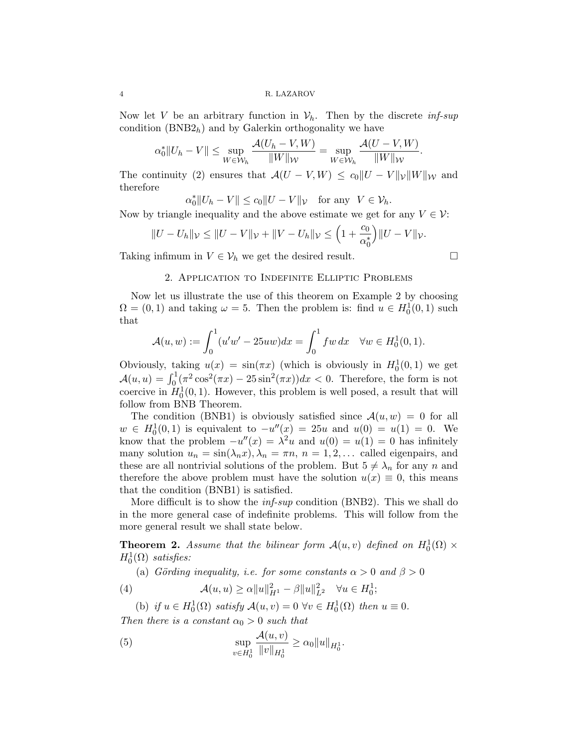Now let V be an arbitrary function in  $\mathcal{V}_h$ . Then by the discrete inf-sup condition  $(BNB2<sub>h</sub>)$  and by Galerkin orthogonality we have

$$
\alpha_0^* \|U_h - V\| \le \sup_{W \in \mathcal{W}_h} \frac{\mathcal{A}(U_h - V, W)}{\|W\|_{\mathcal{W}}} = \sup_{W \in \mathcal{W}_h} \frac{\mathcal{A}(U - V, W)}{\|W\|_{\mathcal{W}}}.
$$

The continuity (2) ensures that  $\mathcal{A}(U - V, W) \leq c_0 ||U - V||_{\mathcal{V}} ||W||_{\mathcal{W}}$  and therefore

$$
\alpha_0^* \|U_h - V\| \le c_0 \|U - V\|_{\mathcal{V}} \quad \text{for any} \ \ V \in \mathcal{V}_h.
$$

Now by triangle inequality and the above estimate we get for any  $V \in \mathcal{V}$ :

$$
||U - U_h||_{\mathcal{V}} \le ||U - V||_{\mathcal{V}} + ||V - U_h||_{\mathcal{V}} \le \left(1 + \frac{c_0}{\alpha_0^*}\right)||U - V||_{\mathcal{V}}.
$$

Taking infimum in  $V \in V_h$  we get the desired result.  $\Box$ 

# 2. Application to Indefinite Elliptic Problems

Now let us illustrate the use of this theorem on Example 2 by choosing  $\Omega = (0, 1)$  and taking  $\omega = 5$ . Then the problem is: find  $u \in H_0^1(0, 1)$  such that

$$
\mathcal{A}(u, w) := \int_0^1 (u'w' - 25uw) dx = \int_0^1 fw \, dx \quad \forall w \in H_0^1(0, 1).
$$

Obviously, taking  $u(x) = \sin(\pi x)$  (which is obviously in  $H_0^1(0,1)$  we get  $\mathcal{A}(u, u) = \int_0^1 (\pi^2 \cos^2(\pi x) - 25 \sin^2(\pi x)) dx < 0$ . Therefore, the form is not coercive in  $H_0^1(0,1)$ . However, this problem is well posed, a result that will follow from BNB Theorem.

The condition (BNB1) is obviously satisfied since  $\mathcal{A}(u, w) = 0$  for all  $w \in H_0^1(0,1)$  is equivalent to  $-u''(x) = 25u$  and  $u(0) = u(1) = 0$ . We know that the problem  $-u''(x) = \lambda^2 u$  and  $u(0) = u(1) = 0$  has infinitely many solution  $u_n = \sin(\lambda_n x), \lambda_n = \pi n, n = 1, 2, \dots$  called eigenpairs, and these are all nontrivial solutions of the problem. But  $5 \neq \lambda_n$  for any n and therefore the above problem must have the solution  $u(x) \equiv 0$ , this means that the condition (BNB1) is satisfied.

More difficult is to show the *inf-sup* condition (BNB2). This we shall do in the more general case of indefinite problems. This will follow from the more general result we shall state below.

**Theorem 2.** Assume that the bilinear form  $\mathcal{A}(u, v)$  defined on  $H_0^1(\Omega) \times$  $H_0^1(\Omega)$  satisfies:

(a) Görding inequality, i.e. for some constants  $\alpha > 0$  and  $\beta > 0$ 

(4) 
$$
\mathcal{A}(u, u) \ge \alpha \|u\|_{H^1}^2 - \beta \|u\|_{L^2}^2 \quad \forall u \in H_0^1;
$$

(b) if  $u \in H_0^1(\Omega)$  satisfy  $\mathcal{A}(u, v) = 0$   $\forall v \in H_0^1(\Omega)$  then  $u \equiv 0$ . Then there is a constant  $\alpha_0 > 0$  such that

(5) 
$$
\sup_{v \in H_0^1} \frac{\mathcal{A}(u, v)}{\|v\|_{H_0^1}} \ge \alpha_0 \|u\|_{H_0^1}.
$$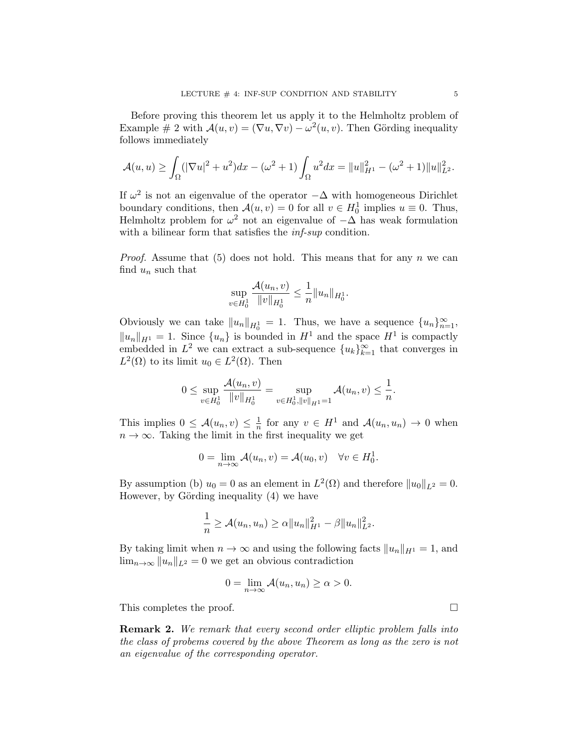Before proving this theorem let us apply it to the Helmholtz problem of Example # 2 with  $\mathcal{A}(u, v) = (\nabla u, \nabla v) - \omega^2(u, v)$ . Then Görding inequality follows immediately

$$
\mathcal{A}(u, u) \ge \int_{\Omega} (|\nabla u|^2 + u^2) dx - (\omega^2 + 1) \int_{\Omega} u^2 dx = ||u||_{H^1}^2 - (\omega^2 + 1) ||u||_{L^2}^2.
$$

If  $\omega^2$  is not an eigenvalue of the operator  $-\Delta$  with homogeneous Dirichlet boundary conditions, then  $\mathcal{A}(u, v) = 0$  for all  $v \in H_0^1$  implies  $u \equiv 0$ . Thus, Helmholtz problem for  $\omega^2$  not an eigenvalue of  $-\Delta$  has weak formulation with a bilinear form that satisfies the *inf-sup* condition.

*Proof.* Assume that (5) does not hold. This means that for any n we can find  $u_n$  such that

$$
\sup_{v \in H_0^1} \frac{\mathcal{A}(u_n, v)}{\|v\|_{H_0^1}} \leq \frac{1}{n} \|u_n\|_{H_0^1}.
$$

Obviously we can take  $||u_n||_{H_0^1} = 1$ . Thus, we have a sequence  $\{u_n\}_{n=1}^{\infty}$ ,  $||u_n||_{H^1} = 1$ . Since  $\{u_n\}$  is bounded in  $H^1$  and the space  $H^1$  is compactly embedded in  $L^2$  we can extract a sub-sequence  $\{u_k\}_{k=1}^{\infty}$  that converges in  $L^2(\Omega)$  to its limit  $u_0 \in L^2(\Omega)$ . Then

$$
0 \leq \sup_{v \in H_0^1} \frac{\mathcal{A}(u_n, v)}{\|v\|_{H_0^1}} = \sup_{v \in H_0^1, \|v\|_{H^1} = 1} \mathcal{A}(u_n, v) \leq \frac{1}{n}.
$$

This implies  $0 \leq \mathcal{A}(u_n, v) \leq \frac{1}{n}$  $\frac{1}{n}$  for any  $v \in H^1$  and  $\mathcal{A}(u_n, u_n) \to 0$  when  $n \to \infty$ . Taking the limit in the first inequality we get

$$
0 = \lim_{n \to \infty} \mathcal{A}(u_n, v) = \mathcal{A}(u_0, v) \quad \forall v \in H_0^1.
$$

By assumption (b)  $u_0 = 0$  as an element in  $L^2(\Omega)$  and therefore  $||u_0||_{L^2} = 0$ . However, by Görding inequality  $(4)$  we have

$$
\frac{1}{n} \geq \mathcal{A}(u_n, u_n) \geq \alpha ||u_n||_{H^1}^2 - \beta ||u_n||_{L^2}^2.
$$

By taking limit when  $n \to \infty$  and using the following facts  $||u_n||_{H^1} = 1$ , and  $\lim_{n\to\infty}||u_n||_{L^2} = 0$  we get an obvious contradiction

$$
0 = \lim_{n \to \infty} \mathcal{A}(u_n, u_n) \ge \alpha > 0.
$$

This completes the proof.

**Remark 2.** We remark that every second order elliptic problem falls into the class of probems covered by the above Theorem as long as the zero is not an eigenvalue of the corresponding operator.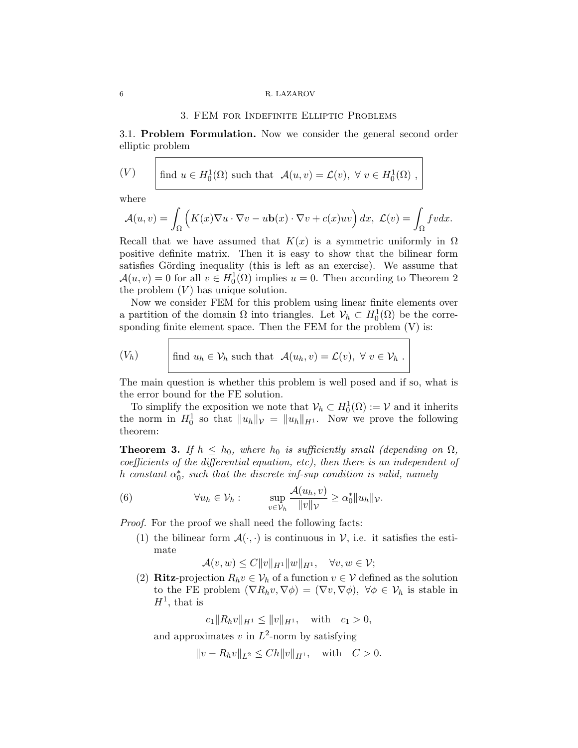#### 6 R. LAZAROV

#### 3. FEM for Indefinite Elliptic Problems

3.1. Problem Formulation. Now we consider the general second order elliptic problem

(V) find 
$$
u \in H_0^1(\Omega)
$$
 such that  $\mathcal{A}(u, v) = \mathcal{L}(v), \forall v \in H_0^1(\Omega)$ ,

where

$$
\mathcal{A}(u,v) = \int_{\Omega} \left( K(x) \nabla u \cdot \nabla v - u \mathbf{b}(x) \cdot \nabla v + c(x) u v \right) dx, \ \mathcal{L}(v) = \int_{\Omega} f v dx.
$$

Recall that we have assumed that  $K(x)$  is a symmetric uniformly in  $\Omega$ positive definite matrix. Then it is easy to show that the bilinear form satisfies Görding inequality (this is left as an exercise). We assume that  $\mathcal{A}(u, v) = 0$  for all  $v \in H_0^1(\Omega)$  implies  $u = 0$ . Then according to Theorem 2 the problem  $(V)$  has unique solution.

Now we consider FEM for this problem using linear finite elements over a partition of the domain  $\Omega$  into triangles. Let  $\mathcal{V}_h \subset H_0^1(\Omega)$  be the corresponding finite element space. Then the FEM for the problem (V) is:

$$
(V_h) \t\t \text{find } u_h \in \mathcal{V}_h \text{ such that } \mathcal{A}(u_h, v) = \mathcal{L}(v), \ \forall \ v \in \mathcal{V}_h \ .
$$

The main question is whether this problem is well posed and if so, what is the error bound for the FE solution.

To simplify the exposition we note that  $\mathcal{V}_h \subset H_0^1(\Omega) := \mathcal{V}$  and it inherits the norm in  $H_0^1$  so that  $||u_h||_{\mathcal{V}} = ||u_h||_{H^1}$ . Now we prove the following theorem:

**Theorem 3.** If  $h \leq h_0$ , where  $h_0$  is sufficiently small (depending on  $\Omega$ , coefficients of the differential equation, etc), then there is an independent of h constant  $\alpha_0^*$ , such that the discrete inf-sup condition is valid, namely

(6) 
$$
\forall u_h \in \mathcal{V}_h: \qquad \sup_{v \in \mathcal{V}_h} \frac{\mathcal{A}(u_h, v)}{\|v\|_{\mathcal{V}}} \ge \alpha_0^* \|u_h\|_{\mathcal{V}}.
$$

Proof. For the proof we shall need the following facts:

(1) the bilinear form  $\mathcal{A}(\cdot, \cdot)$  is continuous in V, i.e. it satisfies the estimate

$$
\mathcal{A}(v,w) \le C ||v||_{H^1} ||w||_{H^1}, \quad \forall v, w \in \mathcal{V};
$$

(2) Ritz-projection  $R_h v \in V_h$  of a function  $v \in V$  defined as the solution to the FE problem  $(\nabla R_h v, \nabla \phi) = (\nabla v, \nabla \phi)$ ,  $\forall \phi \in \mathcal{V}_h$  is stable in  $H^1$ , that is

 $c_1 \|R_h v\|_{H^1} \leq \|v\|_{H^1}$ , with  $c_1 > 0$ ,

and approximates  $v$  in  $L^2$ -norm by satisfying

$$
||v - R_h v||_{L^2} \leq Ch ||v||_{H^1}
$$
, with  $C > 0$ .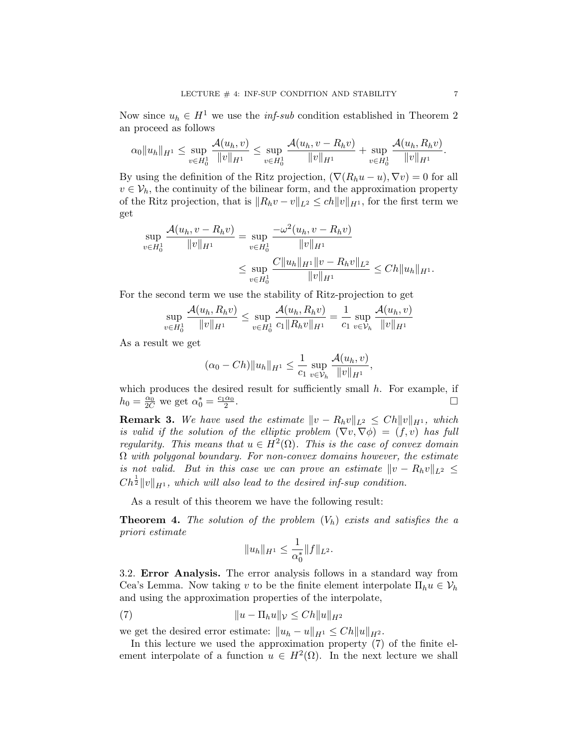Now since  $u_h \in H^1$  we use the *inf-sub* condition established in Theorem 2 an proceed as follows

$$
\alpha_0\|u_h\|_{H^1}\leq \sup_{v\in H_0^1}\frac{\mathcal{A}(u_h,v)}{\|v\|_{H^1}}\leq \sup_{v\in H_0^1}\frac{\mathcal{A}(u_h,v-R_hv)}{\|v\|_{H^1}}+\sup_{v\in H_0^1}\frac{\mathcal{A}(u_h,R_hv)}{\|v\|_{H^1}}.
$$

By using the definition of the Ritz projection,  $(\nabla (R_hu - u), \nabla v) = 0$  for all  $v \in V_h$ , the continuity of the bilinear form, and the approximation property of the Ritz projection, that is  $||R_hv - v||_{L^2} \le ch||v||_{H^1}$ , for the first term we get

$$
\sup_{v \in H_0^1} \frac{\mathcal{A}(u_h, v - R_h v)}{\|v\|_{H^1}} = \sup_{v \in H_0^1} \frac{-\omega^2(u_h, v - R_h v)}{\|v\|_{H^1}} \leq \sup_{v \in H_0^1} \frac{C \|u_h\|_{H^1} \|v - R_h v\|_{L^2}}{\|v\|_{H^1}} \leq C h \|u_h\|_{H^1}.
$$

For the second term we use the stability of Ritz-projection to get

$$
\sup_{v \in H_0^1} \frac{\mathcal{A}(u_h, R_h v)}{\|v\|_{H^1}} \le \sup_{v \in H_0^1} \frac{\mathcal{A}(u_h, R_h v)}{c_1 \|R_h v\|_{H^1}} = \frac{1}{c_1} \sup_{v \in \mathcal{V}_h} \frac{\mathcal{A}(u_h, v)}{\|v\|_{H^1}}
$$

As a result we get

$$
(\alpha_0 - Ch) \|u_h\|_{H^1} \leq \frac{1}{c_1} \sup_{v \in \mathcal{V}_h} \frac{\mathcal{A}(u_h, v)}{\|v\|_{H^1}},
$$

which produces the desired result for sufficiently small  $h$ . For example, if  $h_0 = \frac{\alpha_0}{2C}$  we get  $\alpha_0^* = \frac{c_1 \alpha_0}{2}$ . В последните последните последните последните последните последните последните последните последните последн<br>В последните последните последните последните последните последните последните последните последните последнит

**Remark 3.** We have used the estimate  $||v - R_hv||_{L^2} \leq Ch||v||_{H^1}$ , which is valid if the solution of the elliptic problem  $(\nabla v, \nabla \phi) = (f, v)$  has full regularity. This means that  $u \in H^2(\Omega)$ . This is the case of convex domain  $\Omega$  with polygonal boundary. For non-convex domains however, the estimate is not valid. But in this case we can prove an estimate  $||v - R_hv||_{L^2} \le$  $C h^{\frac{1}{2}} \|v\|_{H^1}$ , which will also lead to the desired inf-sup condition.

As a result of this theorem we have the following result:

**Theorem 4.** The solution of the problem  $(V_h)$  exists and satisfies the a priori estimate

$$
||u_h||_{H^1} \leq \frac{1}{\alpha_0^*} ||f||_{L^2}.
$$

3.2. Error Analysis. The error analysis follows in a standard way from Cea's Lemma. Now taking v to be the finite element interpolate  $\Pi_h u \in V_h$ and using the approximation properties of the interpolate,

$$
||u - \Pi_h u||_{\mathcal{V}} \le Ch ||u||_{H^2}
$$

we get the desired error estimate:  $||u_h - u||_{H^1} \leq Ch||u||_{H^2}$ .

In this lecture we used the approximation property (7) of the finite element interpolate of a function  $u \in H^2(\Omega)$ . In the next lecture we shall